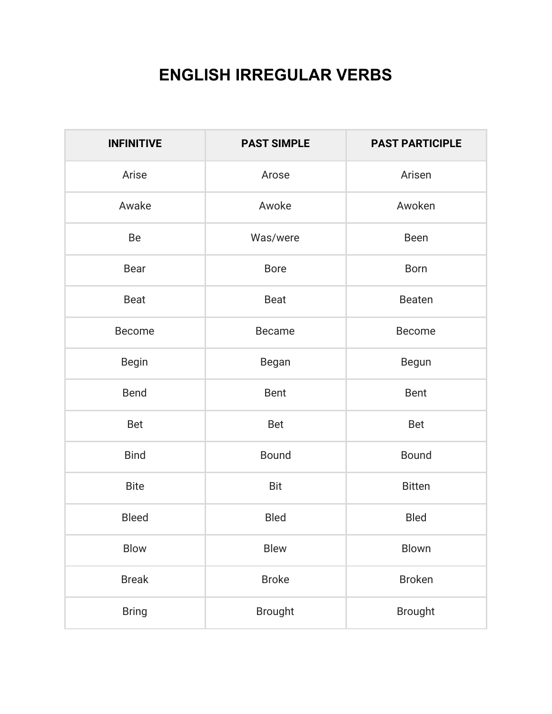## **ENGLISH IRREGULAR VERBS**

| <b>INFINITIVE</b> | <b>PAST SIMPLE</b> | <b>PAST PARTICIPLE</b> |
|-------------------|--------------------|------------------------|
| Arise             | Arose              | Arisen                 |
| Awake             | Awoke              | Awoken                 |
| Be                | Was/were           | Been                   |
| <b>Bear</b>       | <b>Bore</b>        | <b>Born</b>            |
| Beat              | <b>Beat</b>        | Beaten                 |
| <b>Become</b>     | <b>Became</b>      | <b>Become</b>          |
| Begin             | Began              | Begun                  |
| <b>Bend</b>       | <b>Bent</b>        | <b>Bent</b>            |
| <b>Bet</b>        | <b>Bet</b>         | <b>Bet</b>             |
| <b>Bind</b>       | <b>Bound</b>       | <b>Bound</b>           |
| <b>Bite</b>       | <b>Bit</b>         | <b>Bitten</b>          |
| <b>Bleed</b>      | <b>Bled</b>        | <b>Bled</b>            |
| Blow              | Blew               | Blown                  |
| <b>Break</b>      | <b>Broke</b>       | <b>Broken</b>          |
| <b>Bring</b>      | <b>Brought</b>     | <b>Brought</b>         |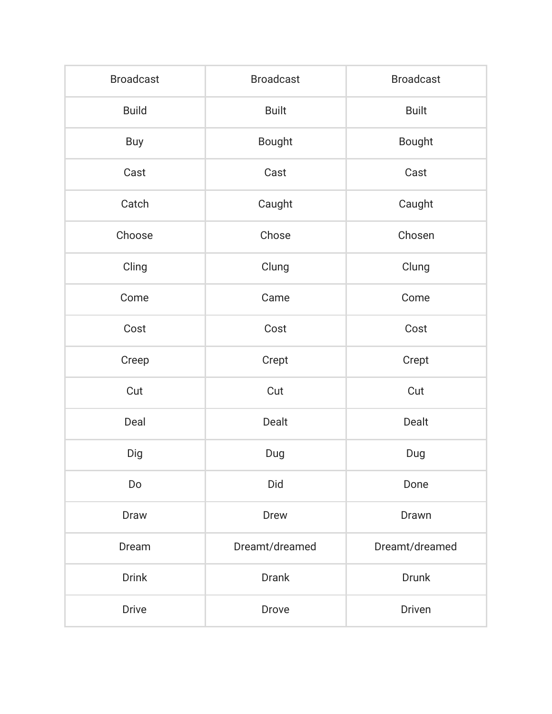| <b>Broadcast</b> | <b>Broadcast</b> | <b>Broadcast</b> |
|------------------|------------------|------------------|
| <b>Build</b>     | <b>Built</b>     | <b>Built</b>     |
| Buy              | <b>Bought</b>    | <b>Bought</b>    |
| Cast             | Cast             | Cast             |
| Catch            | Caught           | Caught           |
| Choose           | Chose            | Chosen           |
| Cling            | Clung            | Clung            |
| Come             | Came             | Come             |
| Cost             | Cost             | Cost             |
| Creep            | Crept            | Crept            |
| Cut              | Cut              | Cut              |
| Deal             | Dealt            | Dealt            |
| Dig              | Dug              | Dug              |
| Do               | Did              | Done             |
| Draw             | Drew             | Drawn            |
| Dream            | Dreamt/dreamed   | Dreamt/dreamed   |
| <b>Drink</b>     | <b>Drank</b>     | Drunk            |
| <b>Drive</b>     | Drove            | Driven           |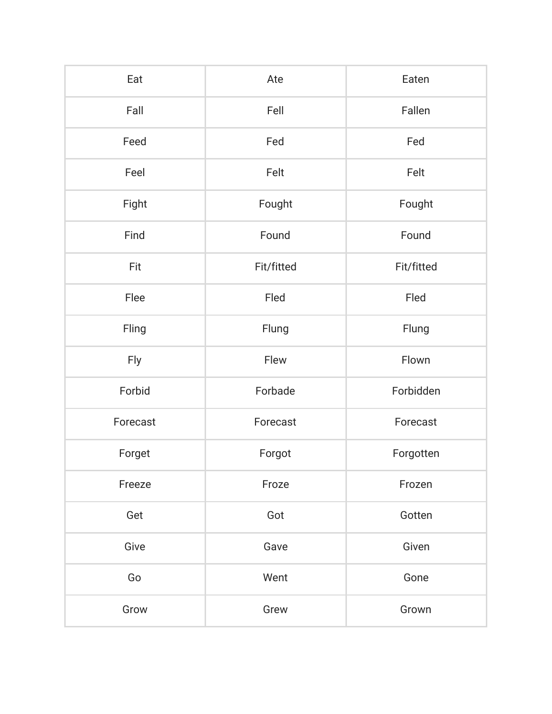| Eat      | Ate        | Eaten      |
|----------|------------|------------|
| Fall     | Fell       | Fallen     |
| Feed     | Fed        | Fed        |
| Feel     | Felt       | Felt       |
| Fight    | Fought     | Fought     |
| Find     | Found      | Found      |
| Fit      | Fit/fitted | Fit/fitted |
| Flee     | Fled       | Fled       |
| Fling    | Flung      | Flung      |
| Fly      | Flew       | Flown      |
| Forbid   | Forbade    | Forbidden  |
| Forecast | Forecast   | Forecast   |
| Forget   | Forgot     | Forgotten  |
| Freeze   | Froze      | Frozen     |
| Get      | Got        | Gotten     |
| Give     | Gave       | Given      |
| Go       | Went       | Gone       |
| Grow     | Grew       | Grown      |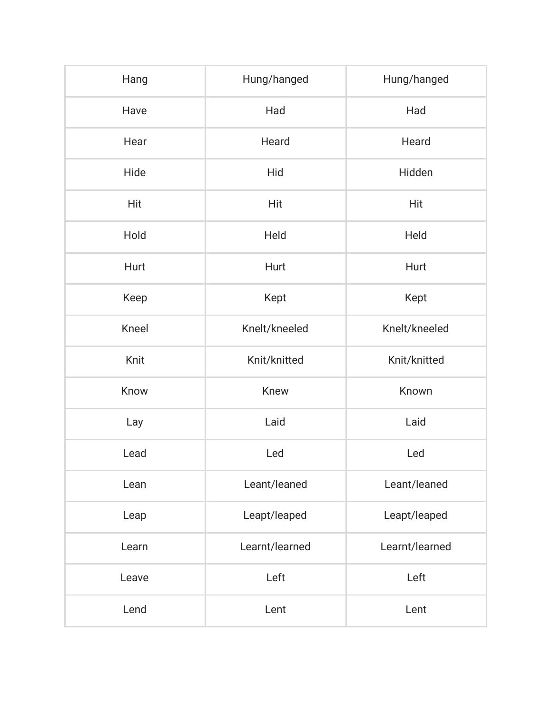| Hang  | Hung/hanged    | Hung/hanged    |
|-------|----------------|----------------|
| Have  | Had            | Had            |
| Hear  | Heard          | Heard          |
| Hide  | Hid            | Hidden         |
| Hit   | <b>Hit</b>     | Hit            |
| Hold  | Held           | Held           |
| Hurt  | Hurt           | Hurt           |
| Keep  | Kept           | Kept           |
| Kneel | Knelt/kneeled  | Knelt/kneeled  |
| Knit  | Knit/knitted   | Knit/knitted   |
| Know  | Knew           | Known          |
| Lay   | Laid           | Laid           |
| Lead  | Led            | Led            |
| Lean  | Leant/leaned   | Leant/leaned   |
| Leap  | Leapt/leaped   | Leapt/leaped   |
| Learn | Learnt/learned | Learnt/learned |
| Leave | Left           | Left           |
| Lend  | Lent           | Lent           |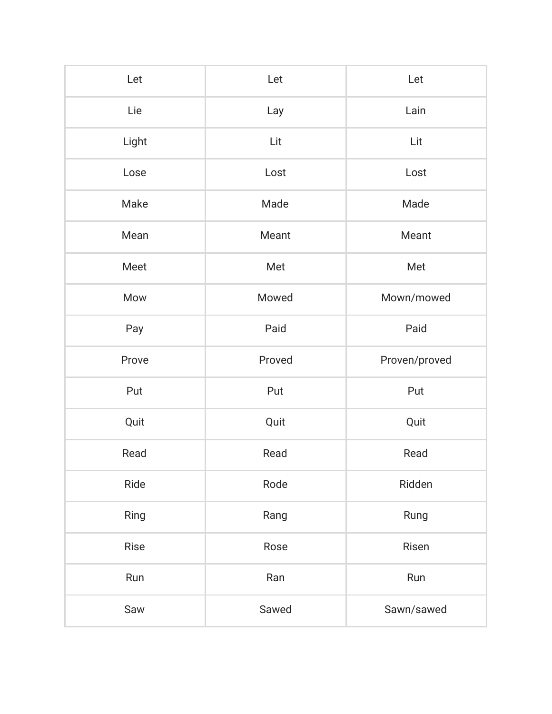| Let   | Let    | Let           |
|-------|--------|---------------|
| Lie   | Lay    | Lain          |
| Light | Lit    | Lit           |
| Lose  | Lost   | Lost          |
| Make  | Made   | Made          |
| Mean  | Meant  | Meant         |
| Meet  | Met    | Met           |
| Mow   | Mowed  | Mown/mowed    |
| Pay   | Paid   | Paid          |
| Prove | Proved | Proven/proved |
| Put   | Put    | Put           |
| Quit  | Quit   | Quit          |
| Read  | Read   | Read          |
| Ride  | Rode   | Ridden        |
| Ring  | Rang   | Rung          |
| Rise  | Rose   | Risen         |
| Run   | Ran    | Run           |
| Saw   |        |               |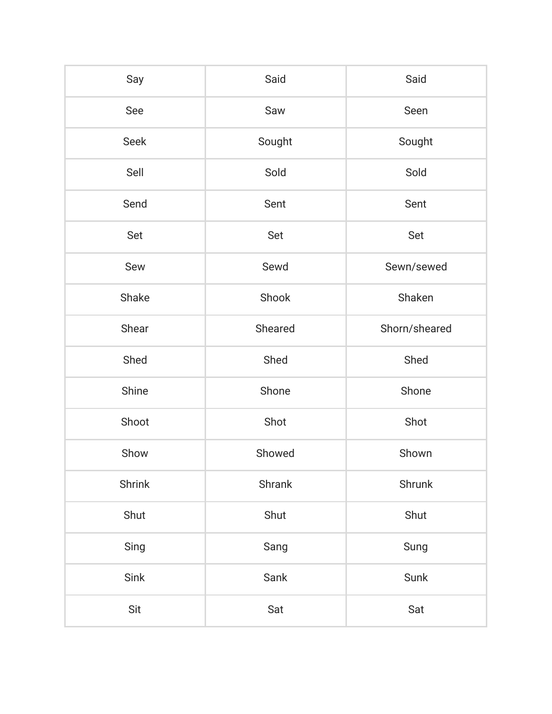| Say         | Said    | Said          |
|-------------|---------|---------------|
| See         | Saw     | Seen          |
| <b>Seek</b> | Sought  | Sought        |
| Sell        | Sold    | Sold          |
| Send        | Sent    | Sent          |
| Set         | Set     | Set           |
| Sew         | Sewd    | Sewn/sewed    |
| Shake       | Shook   | Shaken        |
| Shear       | Sheared | Shorn/sheared |
| Shed        | Shed    | Shed          |
| Shine       | Shone   | Shone         |
| Shoot       | Shot    | Shot          |
| Show        | Showed  | Shown         |
| Shrink      | Shrank  | Shrunk        |
| Shut        | Shut    | Shut          |
| Sing        | Sang    | Sung          |
| Sink        | Sank    | Sunk          |
| Sit         | Sat     | Sat           |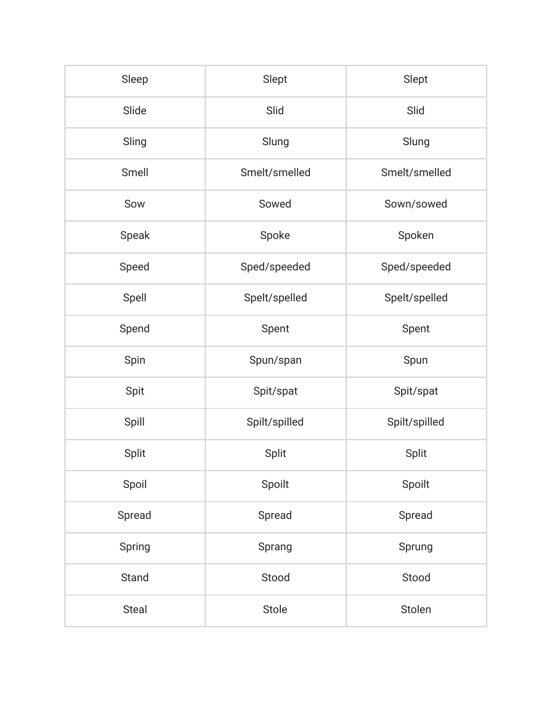| Sleep  | Slept         | Slept         |
|--------|---------------|---------------|
| Slide  | Slid          | Slid          |
| Sling  | Slung         | Slung         |
| Smell  | Smelt/smelled | Smelt/smelled |
| Sow    | Sowed         | Sown/sowed    |
| Speak  | Spoke         | Spoken        |
| Speed  | Sped/speeded  | Sped/speeded  |
| Spell  | Spelt/spelled | Spelt/spelled |
| Spend  | Spent         | Spent         |
| Spin   | Spun/span     | Spun          |
| Spit   | Spit/spat     | Spit/spat     |
| Spill  | Spilt/spilled | Spilt/spilled |
| Split  | Split         | Split         |
| Spoil  | Spoilt        | Spoilt        |
| Spread | Spread        | Spread        |
| Spring | Sprang        | Sprung        |
| Stand  | Stood         | Stood         |
| Steal  | Stole         | Stolen        |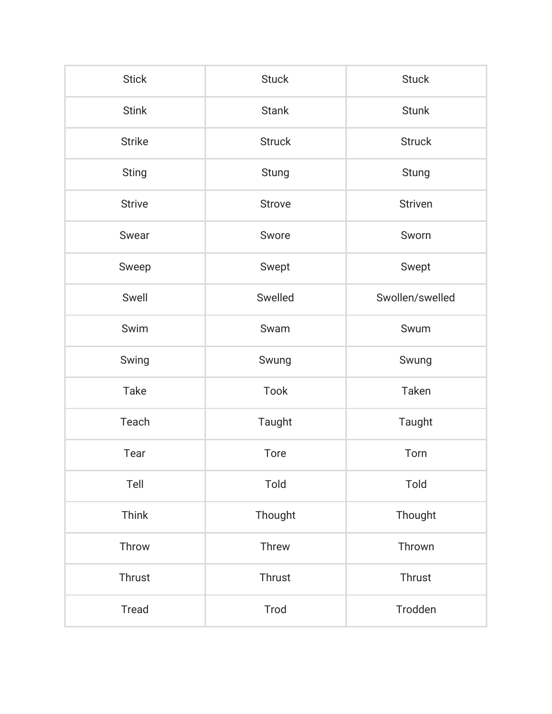| <b>Stick</b>  | <b>Stuck</b>  | <b>Stuck</b>    |
|---------------|---------------|-----------------|
| <b>Stink</b>  | <b>Stank</b>  | <b>Stunk</b>    |
| <b>Strike</b> | <b>Struck</b> | <b>Struck</b>   |
| <b>Sting</b>  | Stung         | Stung           |
| <b>Strive</b> | <b>Strove</b> | <b>Striven</b>  |
| Swear         | Swore         | Sworn           |
| Sweep         | Swept         | Swept           |
| Swell         | Swelled       | Swollen/swelled |
| Swim          | Swam          | Swum            |
| Swing         | Swung         | Swung           |
| Take          | Took          | Taken           |
| Teach         | Taught        | Taught          |
| Tear          | <b>Tore</b>   | Torn            |
| Tell          | Told          | Told            |
| Think         | Thought       | Thought         |
| Throw         | Threw         | Thrown          |
| Thrust        | Thrust        | Thrust          |
| <b>Tread</b>  | Trod          | Trodden         |